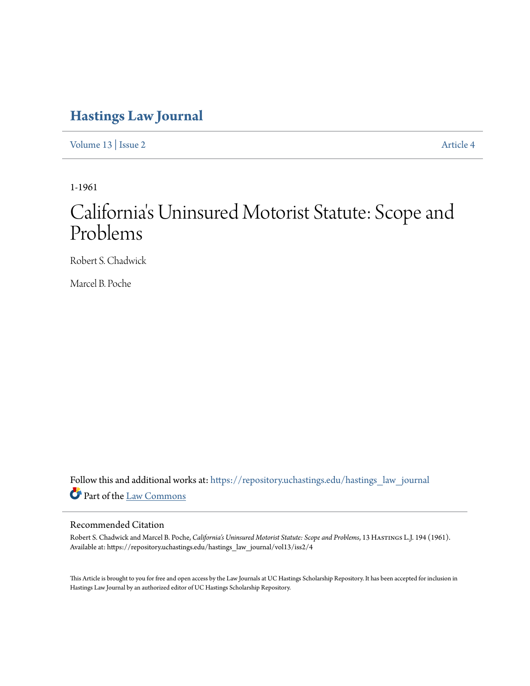# **[Hastings Law Journal](https://repository.uchastings.edu/hastings_law_journal?utm_source=repository.uchastings.edu%2Fhastings_law_journal%2Fvol13%2Fiss2%2F4&utm_medium=PDF&utm_campaign=PDFCoverPages)**

[Volume 13](https://repository.uchastings.edu/hastings_law_journal/vol13?utm_source=repository.uchastings.edu%2Fhastings_law_journal%2Fvol13%2Fiss2%2F4&utm_medium=PDF&utm_campaign=PDFCoverPages) | [Issue 2](https://repository.uchastings.edu/hastings_law_journal/vol13/iss2?utm_source=repository.uchastings.edu%2Fhastings_law_journal%2Fvol13%2Fiss2%2F4&utm_medium=PDF&utm_campaign=PDFCoverPages) [Article 4](https://repository.uchastings.edu/hastings_law_journal/vol13/iss2/4?utm_source=repository.uchastings.edu%2Fhastings_law_journal%2Fvol13%2Fiss2%2F4&utm_medium=PDF&utm_campaign=PDFCoverPages)

1-1961

# California 's Uninsured Motorist Statute: Scope and Problems

Robert S. Chadwick

Marcel B. Poche

Follow this and additional works at: [https://repository.uchastings.edu/hastings\\_law\\_journal](https://repository.uchastings.edu/hastings_law_journal?utm_source=repository.uchastings.edu%2Fhastings_law_journal%2Fvol13%2Fiss2%2F4&utm_medium=PDF&utm_campaign=PDFCoverPages) Part of the [Law Commons](http://network.bepress.com/hgg/discipline/578?utm_source=repository.uchastings.edu%2Fhastings_law_journal%2Fvol13%2Fiss2%2F4&utm_medium=PDF&utm_campaign=PDFCoverPages)

### Recommended Citation

Robert S. Chadwick and Marcel B. Poche, *California's Uninsured Motorist Statute: Scope and Problems*, 13 Hastings L.J. 194 (1961). Available at: https://repository.uchastings.edu/hastings\_law\_journal/vol13/iss2/4

This Article is brought to you for free and open access by the Law Journals at UC Hastings Scholarship Repository. It has been accepted for inclusion in Hastings Law Journal by an authorized editor of UC Hastings Scholarship Repository.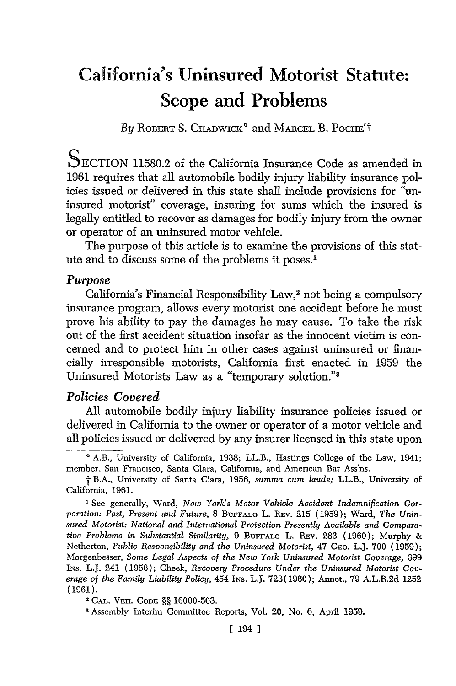# **California's Uninsured Motorist Statute: Scope and Problems**

By ROBERT S. CHADWICK<sup>®</sup> and MARCEL B. POCHE<sup>'t</sup>

SECTION 11580.2 of the California Insurance Code as amended in 1961 requires that all automobile bodily injury liability insurance policies issued or delivered in this state shall include provisions for "uninsured motorist" coverage, insuring for sums which the insured is legally entitled to recover as damages for bodily injury from the owner or operator of an uninsured motor vehicle.

The purpose of this article is to examine the provisions of this statute and to discuss some of the problems it poses.'

#### *Purpose*

California's Financial Responsibility Law,<sup>2</sup> not being a compulsory insurance program, allows every motorist one accident before he must prove his ability to pay the damages he may cause. To take the risk out of the first accident situation insofar as the innocent victim is concerned and to protect him in other cases against uninsured or financially irresponsible motorists, California first enacted in 1959 the Uninsured Motorists Law as a "temporary solution."<sup>3</sup>

#### *Policies Covered*

All automobile bodily injury liability insurance policies issued or delivered in California to the owner or operator of a motor vehicle and all policies issued or delivered by any insurer licensed in this state upon

2 **CAL.** VEH. **CODE** §§ **16000-503.**

3Assembly Interim Committee Reports, Vol. 20, No. **6,** April **1959.**

A.B., University of California, 1938; LL.B., Hastings College of the Law, 1941; member, San Francisco, Santa Clara, California, and American Bar Ass'ns.

**I** B.A., University of Santa Clara, 1956, *summa cum laude;* LL.B., University of California, 1961.

**<sup>1</sup>** See generally, Ward, *New York's Motor Vehicle Accident Indemnification Corporation: Past, Present and Future,* 8 BUFFALO L. REv. 215 (1959); Ward, *The Uninsured Motorist: National and International Protection Presently Available and Comparative Problems in Substantial Similarity,* **9 BUFFALo** L. **REv.** 283 (1960); Murphy & Netherton, *Public Responsibility and the Uninsured Motorist,* 47 **CEo.** L.J. **700 (1959);** Morgenbesser, *Some Legal Aspects of the New York Uninsured Motorist Coverage,* **399** INS. L.J. 241 (1956); Cheek, *Recovery Procedure Under the Uninsured Motorist Coverage of the Family Liability Policy,* 454 INS. L.J. 723(1960); Annot., 79 A.L.R.2d 1252 (1961).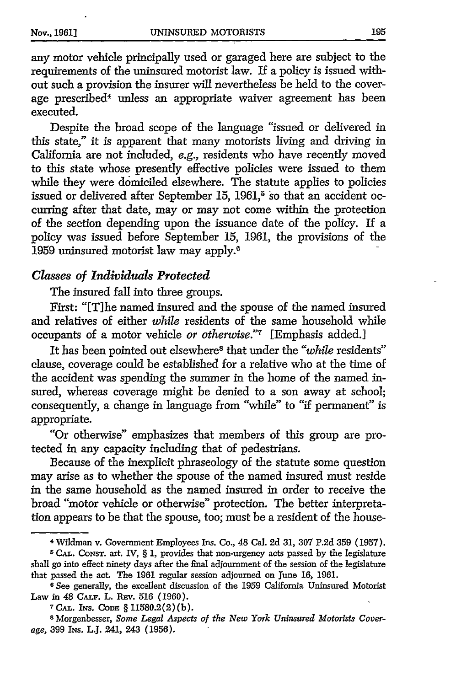any motor vehicle principally used or garaged here are subject to the requirements of the uninsured motorist law. If a policy is issued without such a provision the insurer will nevertheless be held to the coverage prescribed<sup>4</sup> unless an appropriate waiver agreement has been executed.

Despite the broad scope of the language "issued or delivered in this state," it is apparent that many motorists living and driving in California are not included, e.g., residents who have recently moved to this state whose presently effective policies were issued to them while they were domiciled elsewhere. The statute applies to policies issued or delivered after September 15, 1961,<sup>5</sup> so that an accident occurring after that date, may or may not come within the protection of the section depending upon the issuance date of the policy. If a policy was issued before September 15, 1961, the provisions of the 1959 uninsured motorist law may apply."

### *Classes of Individuals Protected*

The insured fall into three groups.

First: "[Tihe named insured and the spouse of the named insured and relatives of either *while* residents of the same household while occupants of a motor vehicle *or otherwise."r* [Emphasis added.]

It has been pointed out elsewhere8 that under the *"while* residents" clause, coverage could be established for a relative who at the time of the accident was spending the summer in the home of the named insured, whereas coverage might be denied to a son away at school; consequently, a change in language from "while" to "if permanent" is appropriate.

"Or otherwise" emphasizes that members of this group are protected in any capacity including that of pedestrians.

Because of the inexplicit phraseology of the statute some question may arise as to whether the spouse of the named insured must reside in the same household as the named insured in order to receive the broad "motor vehicle or otherwise" protection. The better interpretation appears to be that the spouse, too; must be a resident of the house-

<sup>4</sup> Wildman v. Government Employees Ins. Co., 48 Cal. 2d 31, 307 P.2d **359** (1957).

**<sup>5</sup> CAL.** CONST. art. IV, § 1, provides that non-urgency acts passed by the legislature shall go into effect ninety days after the final adjournment of the session of the legislature that passed the act. The 1961 regular session adjourned on June **16,** 1961.

**<sup>6</sup>** See generally, the excellent discussion of the 1959 California Uninsured Motorist Law in 48 **CALF.** L. **REv. 516 (1960). 7 CAL. INS.** CODE § 11580.2(2)(b).

**<sup>8</sup>** Morgenbesser, *Some Legal Aspects of the New York Uninsured Motorists Coverage,* **399** INs. **L.J.** 241, 243 **(1956).**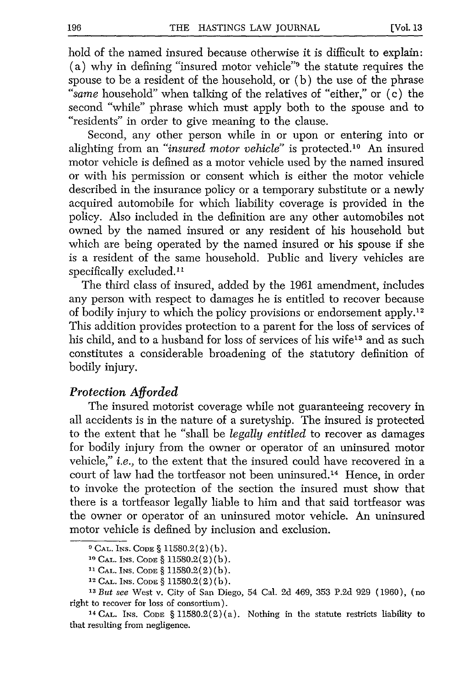hold of the named insured because otherwise it is difficult to explain: (a) why in defining "insured motor vehicle"<sup>9</sup> the statute requires the spouse to be a resident of the household, or (b) the use of the phrase *"same* household" when talking of the relatives of "either," or (c) the second "while" phrase which must apply both to the spouse and to "residents" in order to give meaning to the clause.

Second, any other person while in or upon or entering into or alighting from an *"insured motor vehicle"* is protected.1° An insured motor vehicle is defined as a motor vehicle used by the named insured or with his permission or consent which is either the motor vehicle described in the insurance policy or a temporary substitute or a newly acquired automobile for which liability coverage is provided in the policy. Also included in the definition are any other automobiles not owned by the named insured or any resident of his household but which are being operated by the named insured or his spouse if she is a resident of the same household. Public and livery vehicles are specifically excluded.<sup>11</sup>

The third class of insured, added by the 1961 amendment, includes any person with respect to damages he is entitled to recover because of bodily injury to which the policy provisions or endorsement apply. <sup>12</sup> This addition provides protection to a parent for the loss of services of his child, and to a husband for loss of services of his wife<sup>13</sup> and as such constitutes a considerable broadening of the statutory definition of bodily injury.

#### *Protection Afforded*

The insured motorist coverage while not guaranteeing recovery in all accidents is in the nature of a suretyship. The insured is protected to the extent that he "shall be *legally entitled* to recover as damages for bodily injury from the owner or operator of an uninsured motor vehicle," *i.e.,* to the extent that the insured could have recovered in a court of law had the tortfeasor not been uninsured.14 Hence, in order to invoke the protection of the section the insured must show that there is a tortfeasor legally liable to him and that said tortfeasor was the owner or operator of an uninsured motor vehicle. An uninsured motor vehicle is defined by inclusion and exclusion.

**<sup>9</sup> CAL. INS. CODE §** 11580.2 (2) (b).

**<sup>10</sup>CAL. INS. CODE** § 11580.2(2) (b).

**<sup>11</sup>CAL. INS. CODE** § 11580.2(2) (b).

<sup>12</sup>**CAL. INS. CODE** § 11580.2(2) (b).

**<sup>13</sup>***But see* West v. City of San Diego, 54 Cal. 2d 469, 353 P.2d 929 (1960), (no right to recover for loss of consortium).

<sup>&</sup>lt;sup>14</sup> CAL. INS. CODE  $\S 11580.2(2)(a)$ . Nothing in the statute restricts liability to that resulting from negligence.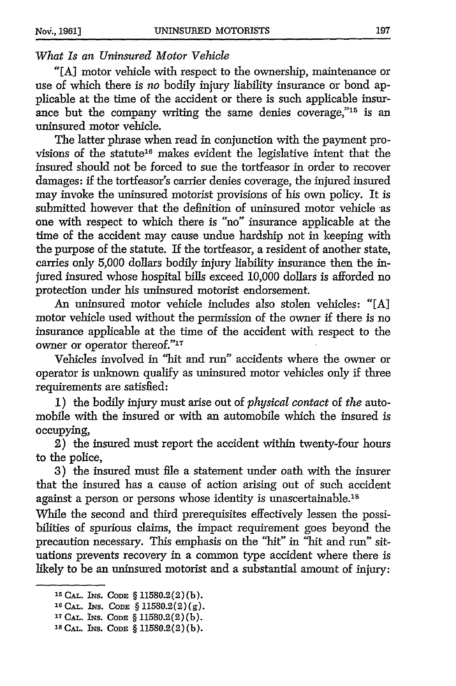### *What Is an Uninsured Motor Vehicle*

"[A] motor vehicle with respect to the ownership, maintenance or use of which there is *no* bodily injury liability insurance or bond applicable at the time of the accident or there is such applicable insurance but the company writing the same denies coverage," $15$  is an uninsured motor vehicle.

The latter phrase when read in conjunction with the payment provisions of the statute<sup>16</sup> makes evident the legislative intent that the insured should not be forced to sue the tortfeasor in order to recover damages: if the tortfeasor's carrier denies coverage, the injured insured may invoke the uninsured motorist provisions of his own policy. It is submitted however that the definition of uninsured motor vehicle as one with respect to which there is "no" insurance applicable at the time of the accident may cause undue hardship not in keeping with the purpose of the statute. If the tortfeasor, a resident of another state, carries only 5,000 dollars bodily injury liability insurance then the injured insured whose hospital bills exceed 10,000 dollars is afforded no protection under his uninsured motorist endorsement.

An uninsured motor vehicle includes also stolen vehicles: "[A] motor vehicle used without the permission of the owner if there is no insurance applicable at the time of the accident with respect to the owner or operator thereof."<sup>17</sup>

Vehicles involved in "hit and run" accidents where the owner or operator is unknown qualify as uninsured motor vehicles only if three requirements are satisfied:

1) the bodily injury must arise out of *physical contact* of *the* automobile with the insured or with an automobile which the insured is occupying,

2) the insured must report the accident within twenty-four hours to the police,

3) the insured must file a statement under oath with the insurer that the insured has a cause of action arising out of such accident against a person or persons whose identity is unascertainable.<sup>18</sup>

While the second and third prerequisites effectively lessen the possibilities of spurious claims, the impact requirement goes beyond the precaution necessary. This emphasis on the "hit" in "hit and run" situations prevents recovery in a common type accident where there is likely to be an uninsured motorist and a substantial amount of injury:

**<sup>15</sup>CAL.** INS. CODE § **11580.2(2)(b).**

**<sup>16</sup> CAL. INS. CODE** § **11580.2(2)(g).**

**<sup>3.</sup> CAL. INS. CODE** § **11580.2(2)(b).**

**<sup>18</sup> CAL.** INS. **CODE** § **11580.2(2)(b).**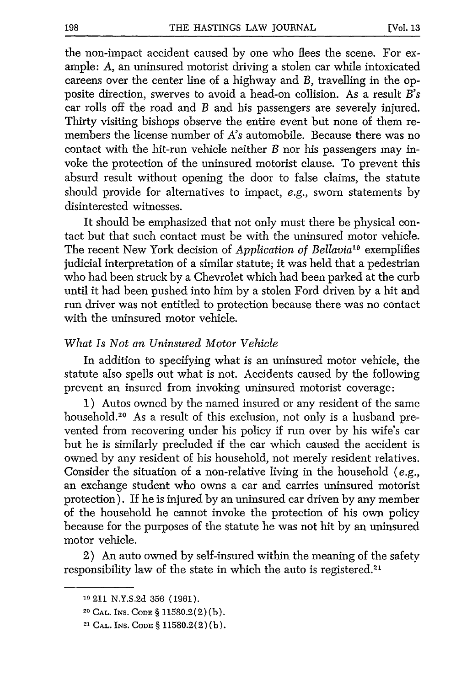the non-impact accident caused by one who flees the scene. For example: *A,* an uninsured motorist driving a stolen car while intoxicated careens over the center line of a highway and *B,* travelling in the opposite direction, swerves to avoid a head-on collision. As a result *B's* car rolls off the road and *B* and his passengers are severely injured. Thirty visiting bishops observe the entire event but none of them remembers the license number of *A's* automobile. Because there was no contact with the hit-run vehicle neither *B* nor his passengers may invoke the protection of the uninsured motorist clause. To prevent this absurd result without opening the door to false claims, the statute should provide for alternatives to impact, e.g., sworn statements by disinterested witnesses.

It should be emphasized that not only must there be physical contact but that such contact must be with the uninsured motor vehicle. The recent New York decision of *Application of Bellavia'"* exemplifies judicial interpretation of a similar statute; it was held that a pedestrian who had been struck by a Chevrolet which had been parked at the curb until it had been pushed into him by a stolen Ford driven by a hit and run driver was not entitled to protection because there was no contact with the uninsured motor vehicle.

#### *What Is Not an Uninsured Motor Vehicle*

In addition to specifying what is an uninsured motor vehicle, the statute also spells out what is not. Accidents caused by the following prevent an insured from invoking uninsured motorist coverage:

1) Autos owned by the named insured or any resident of the same household.<sup>20</sup> As a result of this exclusion, not only is a husband prevented from recovering under his policy if run over by his wife's car but he is similarly precluded if the car which caused the accident is owned by any resident of his household, not merely resident relatives. Consider the situation of a non-relative living in the household (e.g., an exchange student who owns a car and carries uninsured motorist protection). If he is injured by an uninsured car driven by any member of the household he cannot invoke the protection of his own policy because for the purposes of the statute he was not hit by an uninsured motor vehicle.

2) An auto owned by self-insured within the meaning of the safety responsibility law of the state in which the auto is registered.<sup>21</sup>

**<sup>1,1</sup>** 211 N.Y.S.2d 356 (1961).

<sup>20</sup>**CAL.** INS. **CODE** § 11580.2(2) (b).

<sup>21</sup>**CAL. INS. CODE** § 11580.2(2) (b).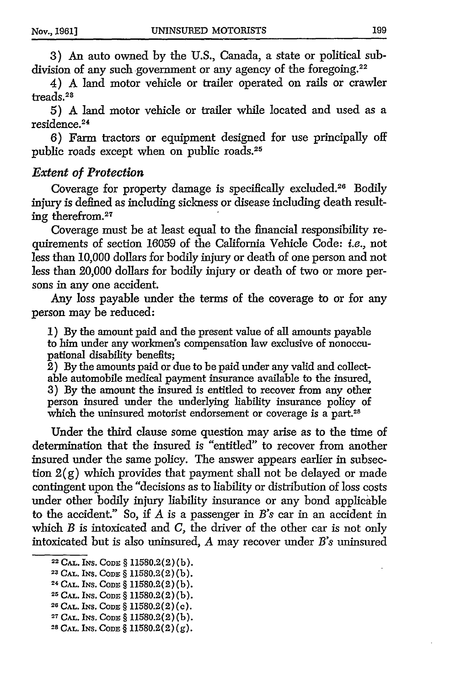3) An auto owned by the U.S., Canada, a state or political subdivision of any such government or any agency of the foregoing.<sup>22</sup>

4) A land motor vehicle or trailer operated on rails or crawler treads.<sup>23</sup>

5) A land motor vehicle or trailer while located and used as a residence. <sup>24</sup>

6) Farm tractors or equipment designed for use principally off public roads except when on public roads.<sup>25</sup>

#### *Extent of Protection*

Coverage for property damage is specifically excluded.<sup>26</sup> Bodily injury is defined as including sickness or disease including death resulting therefrom.<sup>27</sup>

Coverage must be at least equal to the financial responsibility requirements of section 16059 of the California Vehicle Code: *i.e.,* not less than 10,000 dollars for bodily injury or death of one person and not less than 20,000 dollars for bodily injury or death of two or more persons in any one accident.

Any loss payable under the terms of the coverage to or for any person may be reduced:

**1)** By the amount paid and the present value of all amounts payable to him under any workmen's compensation law exclusive of nonoccupational disability benefits;

 $\overline{2}$ ) By the amounts paid or due to be paid under any valid and collectable automobile medical payment insurance available to the insured, **3)** By the amount the insured is entitled to recover from any other person insured under the underlying liability insurance policy of which the uninsured motorist endorsement or coverage is a part.<sup>28</sup>

Under the third clause some question may arise as to the time of determination that the insured is "entitled" to recover from another insured under the same policy. The answer appears earlier in subsection 2(g) which provides that payment shall not be delayed or made contingent upon the "decisions as to liability or distribution of loss costs under other bodily injury liability insurance or any bond applicable to the accident." So, if *A* is a passenger in *B's* car in an accident in which *B* is intoxicated and *C,* the driver of the other car is not only intoxicated but is also uninsured, *A* may recover under *B's* uninsured

**<sup>2</sup> 2 CAL. INS. CODE** § **11580.2(2)** (b).

**<sup>23</sup> CAL.** INS. **CODE** § 11580.2(2) **(b).**

**<sup>24</sup> CAL. INS. CODE** § **11580.2(2)** (b).

**<sup>25</sup> CAL. INS. CODE** § **11580.2(2)** (b).

<sup>26</sup> **CAL. INS. CODE** § 11580.2(2) **(C).**

**<sup>27</sup> CAL. INS. CODE** § **11580.2(2) (b).**

**<sup>28</sup> CAL. INS. CODE** § **11580.2(2) (g).**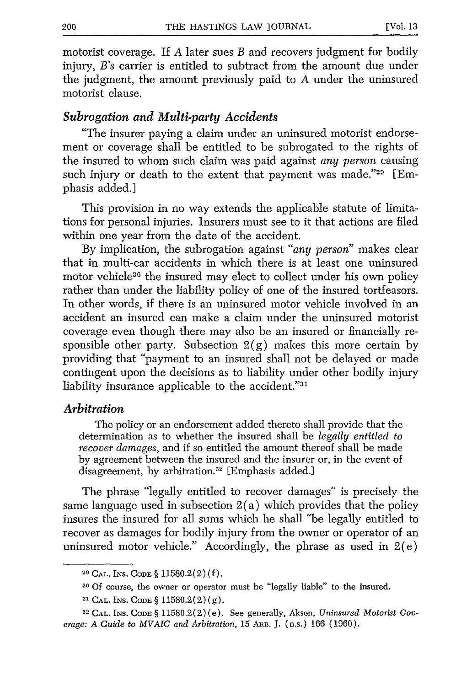motorist coverage. If *A* later sues *B* and recovers judgment for bodily injury, *B's* carrier is entitled to subtract from the amount due under the judgment, the amount previously paid to *A* under the uninsured motorist clause.

#### *Subrogation and Multi-party Accidents*

"The insurer paying a claim under an uninsured motorist endorsement or coverage shall be entitled to be subrogated to the rights of the insured to whom such claim was paid against *any person* causing such injury or death to the extent that payment was made."29 [Emphasis added.]

This provision in no way extends the applicable statute of limitations for personal injuries. Insurers must see to it that actions are filed within one year from the date of the accident.

By implication, the subrogation against *"any person"* makes clear that in multi-car accidents in which there is at least one uninsured motor vehicle<sup>30</sup> the insured may elect to collect under his own policy rather than under the liability policy of one of the insured tortfeasors. In other words, if there is an uninsured motor vehicle involved in an accident an insured can make a claim under the uninsured motorist coverage even though there may also be an insured or financially responsible other party. Subsection  $2(g)$  makes this more certain by providing that "payment to an insured shall not be delayed or made contingent upon the decisions as to liability under other bodily injury liability insurance applicable to the accident."<sup>31</sup>

#### *Arbitration*

The policy or an endorsement added thereto shall provide that the determination as to whether the insured shall be *legally entitled to recover damages,* and if so entitled the amount thereof shall be made by agreement between the insured and the insurer or, in the event of disagreement, by arbitration.<sup>32</sup> [Emphasis added.]

The phrase "legally entitled to recover damages" is precisely the same language used in subsection  $2(a)$  which provides that the policy insures the insured for all sums which he shall "be legally entitled to recover as damages for bodily injury from the owner or operator of an uninsured motor vehicle." Accordingly, the phrase as used in  $2(e)$ 

**<sup>29</sup>CAL. INS. CODE** § 11580.2(2) (f).

**<sup>30</sup>**Of course, the owner or operator must be "legally liable" to the insured.

**<sup>31</sup> CAL.** INS. **CODE** § 11580.2(2) (g).

**<sup>32</sup> CAL.** INS. **CODE** § 11580.2(2) (e). See generally, Aksen, *Uninsured Motorist Coverage: A Guide to MVAIC and Arbitration,* 15 Ann. J. (n.s.) 166 (1960).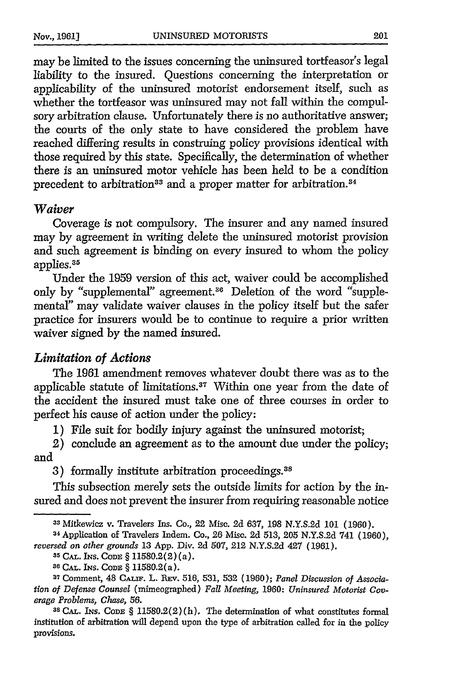may be limited to the issues concerning the uninsured tortfeasor's legal liability to the insured. Questions concerning the interpretation or applicability of the uninsured motorist endorsement itself, such as whether the tortfeasor was uninsured may not fall within the compulsory arbitration clause. Unfortunately there is no authoritative answer; the courts of the only state to have considered the problem have reached differing results in construing policy provisions identical with those required by this state. Specifically, the determination of whether there is an uninsured motor vehicle has been held to be a condition precedent to arbitration<sup>33</sup> and a proper matter for arbitration.<sup>34</sup>

#### *Waiver*

Coverage is not compulsory. The insurer and any named insured may by agreement in writing delete the uninsured motorist provision and such agreement is binding on every insured to whom the policy applies.<sup>35</sup>

Under the 1959 version of this act, waiver could be accomplished only by "supplemental" agreement.<sup>36</sup> Deletion of the word "supplemental" may validate waiver clauses in the policy itself but the safer practice for insurers would be to continue to require a prior written waiver signed by the named insured.

## *Limitation of Actions*

The 1961 amendment removes whatever doubt there was as to the applicable statute of limitations.<sup>37</sup> Within one year from the date of the accident the insured must take one of three courses in order to perfect his cause of action under the policy:

**1)** File suit for bodily injury against the uninsured motorist;

2) conclude an agreement as to the amount due under the policy; and

3) formally institute arbitration proceedings.<sup>38</sup>

This subsection merely sets the outside limits for action by the insured and does not prevent the insurer from requiring reasonable notice

**<sup>35</sup>CAL. INS. CODE** § 11580.2(2)(a).

<sup>33</sup> Mitkewicz v. Travelers Ins. Co., 22 Misc. 2d 637, 198 N.Y.S.2d 101 (1960).

<sup>34</sup> Application of Travelers Indem. Co., **26** Misc. 2d 513, 205 N.Y.S.2d 741 (1960), *reversed on other grounds* 13 App. Div. 2d 507, 212 N.Y.S.2d 427 (1961).

**SG CAL.** INS. *CODE* § 11580.2(a).

**<sup>37</sup>** Comment, 48 **CALF.** L. REv. **516,** 531, 532 (1960); *Panel Discussion of Association of Defense Counsel* (mimeographed) *Fall Meeting,* 1960: *Uninsured Motorist Coverage Problems, Chase,* **56. <sup>3</sup> <sup>8</sup>**CAL. *INs.* CODE § 11580.2(2) (h). The determination of what constitutes formal

institution of arbitration will depend upon the type of arbitration called for in the policy provisions.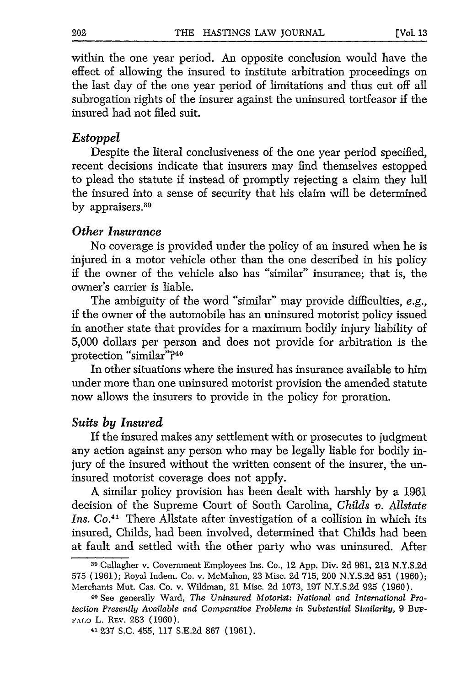within the one year period. An opposite conclusion would have the effect of allowing the insured to institute arbitration proceedings on the last day of the one year period of limitations and thus cut off all subrogation rights of the insurer against the uninsured tortfeasor if the insured had not filed suit.

#### *Estoppel*

Despite the literal conclusiveness of the one year period specified, recent decisions indicate that insurers may find themselves estopped to plead the statute if instead of promptly rejecting a claim they lull the insured into a sense of security that his claim will be determined by appraisers.<sup>39</sup>

#### *Other Insurance*

No coverage is provided under the policy of an insured when he is injured in a motor vehicle other than the one described in his policy if the owner of the vehicle also has "similar" insurance; that is, the owner's carrier is liable.

The ambiguity of the word "similar" may provide difficulties, e.g., if the owner of the automobile has an uninsured motorist policy issued in another state that provides for a maximum bodily injury liability of 5,000 dollars per person and does not provide for arbitration is the protection "similar"?40

In other situations where the insured has insurance available to him under more than one uninsured motorist provision the amended statute now allows the insurers to provide in the policy for proration.

#### *Suits by Insured*

If the insured makes any settlement with or prosecutes to judgment any action against any person who may be legally liable for bodily injury of the insured without the written consent of the insurer, the uninsured motorist coverage does not apply.

A similar policy provision has been dealt with harshly by a 1961 decision of the Supreme Court of South Carolina, *Childs v. Allstate Ins. Co.4'* There Allstate after investigation of a collision in which its insured, Childs, had been involved, determined that Childs had been at fault and settled with the other party who was uninsured. After

<sup>39</sup>Gallagher v. Government Employees Ins. Co., 12 App. Div. 2d 981, 212 N.Y.S.2d 575 (1961); Royal Indem. Co. v. McMahon, 23 Misc. 2d 715, 200 N.Y.S.2d 951 (1960); Merchants Mut. Cas. Co. v. Wildman, 21 Misc. 2d 1073, 197 N.Y.S.2d 925 (1960).

**<sup>40</sup>** See generally Ward, *The Uninsured Motorist: National and International Protection Presently Available and Comparative Problems in Substantial Similarity,* 9 *BuF-*FALO L. REV. 283 (1960).

**<sup>41</sup>**237 S.C. 455, 117 S.E.2d 867 (1961).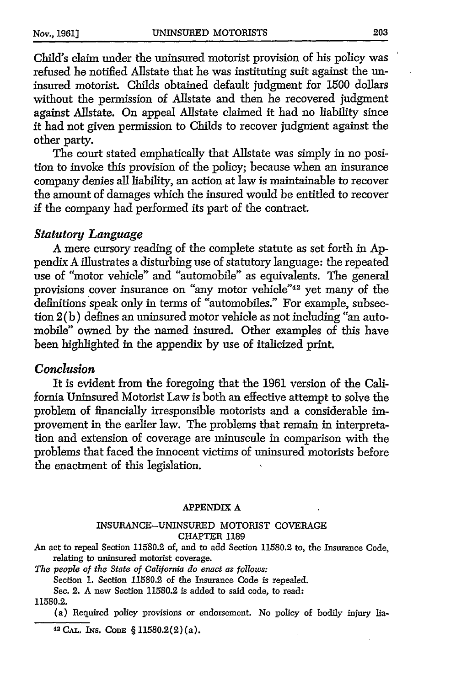Child's claim under the uninsured motorist provision of his policy was refused he notified Allstate that he was instituting suit against the uninsured motorist. Childs obtained default judgment for 1500 dollars without the permission of Allstate and then he recovered judgment against Allstate. On appeal Allstate claimed it had no liability since it had not given permission to Childs to recover judgment against the other party.

The court stated emphatically that Allstate was simply in no position to invoke this provision of the policy; because when an insurance company denies all liability, an action at law is maintainable to recover the amount of damages which the insured would be entitled to recover if the company had performed its part of the contract.

#### *Statutory Language*

A mere cursory reading of the complete statute as set forth in Appendix A illustrates a disturbing use of statutory language: the repeated use of "motor vehicle" and "automobile" as equivalents. The general provisions cover insurance on "any motor vehicle"42 yet many of the definitions speak only in terms of "automobiles." For example, subsection 2(b) defines an uninsured motor vehicle as not including "an automobile" owned by the named insured. Other examples of this have been highlighted in the appendix by use of italicized print.

#### *Conclusion*

It is evident from the foregoing that the 1961 version of the California Uninsured Motorist Law is both an effective attempt to solve the problem of financially irresponsible motorists and a considerable improvement in the earlier law. The problems that remain in interpretation and extension of coverage are minuscule in comparison with the problems that faced the innocent victims of uninsured motorists before the enactment of this legislation.

#### APPENDIX **A**

#### **INSURANCE-UNINSURED** MOTORIST **COVERAGE CHAPTER 1189**

An act to repeal Section 11580.2 of, and to add Section 11580.2 to, the Insurance Code, relating to uninsured motorist coverage.

*The people of the State of California do enact as follows:*

Section 1. Section 11580.2 of the Insurance Code is repealed.

See. 2. A new Section 11580.2 is added to said code, to read:

11580.2.

(a) Required policy provisions or endorsement. No policy of bodily injury lia-

<sup>42</sup>**CAL. INS. CODE** § **11580.2(2)(a).**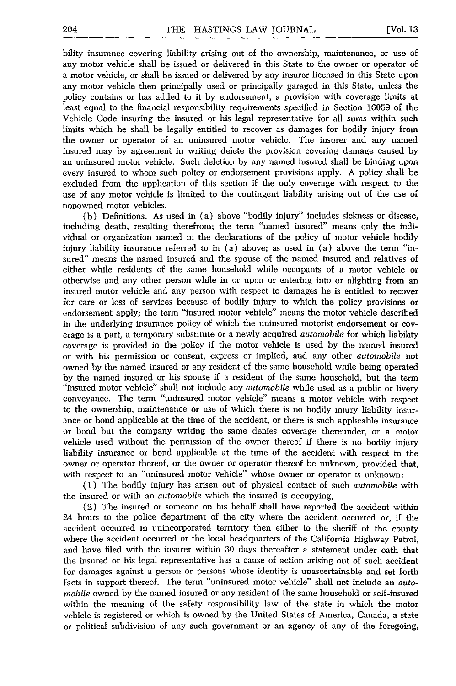bility insurance covering liability arising out of the ownership, maintenance, or use of any motor vehicle shall be issued or delivered in this State to the owner or operator of a motor vehicle, or shall be issued or delivered by any insurer licensed in this State upon any motor vehicle then principally used or principally garaged in this State, unless the policy contains or has added to it by endorsement, a provision with coverage limits at least equal to the financial responsibility requirements specified in Section 16059 of the Vehicle Code insuring the insured or his legal representative for all sums within such limits which he shall be legally entitled to recover as damages for bodily injury from the owner or operator of an uninsured motor vehicle. The insurer and any named insured may by agreement in writing delete the provision covering damage caused by an uninsured motor vehicle. Such deletion by any named insured shall be binding upon every insured to whom such policy or endorsement provisions apply. A policy shall be excluded from the application of this section if the only coverage with respect to the use of any motor vehicle is limited to the contingent liability arising out of the use of nonowned motor vehicles.

(b) Definitions. As used in (a) above "bodily injury" includes sickness or disease, including death, resulting therefrom; the term "named insured" means only the individual or organization named in the declarations of the policy of motor vehicle bodily injury liability insurance referred to in (a) above; as used in (a) above the term "insured" means the named insured and the spouse of the named insured and relatives of either while residents of the same household while occupants of a motor vehicle or otherwise and any other person while in or upon or entering into or alighting from an insured motor vehicle and any person with respect to damages he is entitled to recover for care or loss of services because of bodily injury to which the policy provisions or endorsement apply; the term "insured motor vehicle" means the motor vehicle described in the underlying insurance policy of which the uninsured motorist endorsement or coverage is a part, a temporary substitute or a newly acquired *automobile* for which liability coverage is provided in the policy if the motor vehicle is used by the named insured or with his permission or consent, express or implied, and any other *automobile* not owned by the named insured or any resident of the same household while being operated by the named insured or his spouse if a resident of the same household, but the term "insured motor vehicle" shall not include any *automobile* while used as a public or livery conveyance. The term "uninsured motor vehicle" means a motor vehicle with respect to the ownership, maintenance or use of which there is no bodily injury liability insurance or bond applicable at the time of the accident, or there is such applicable insurance or bond but the company writing the same denies coverage thereunder, or a motor vehicle used without the permission of the owner thereof if there is no bodily injury liability insurance or bond applicable at the time of the accident with respect to the owner or operator thereof, or the owner or operator thereof be unknown, provided that, with respect to an "uninsured motor vehicle" whose owner or operator is unknown:

(1) The bodily injury has arisen out of physical contact of such *automobile* with the insured or with an *automobile* which the insured is occupying,

(2) The insured or someone on his behalf shall have reported the accident within 24 hours to the police department of the city where the accident occurred or, if the accident occurred in unincorporated territory then either to the sheriff of the county where the accident occurred or the local headquarters of the California Highway Patrol, and have filed with the insurer within 30 days thereafter a statement under oath that the insured or his legal representative has a cause of action arising out of such accident for damages against a person or persons whose identity is unascertainable and set forth facts in support thereof. The term "uninsured motor vehicle" shall not include an *automobile* owned by the named insured or any resident of the same household or self-insured within the meaning of the safety responsibility law of the state in which the motor vehicle is registered or which is owned by the United States of America, Canada, a state or political subdivision of any such government or an agency of any of the foregoing,